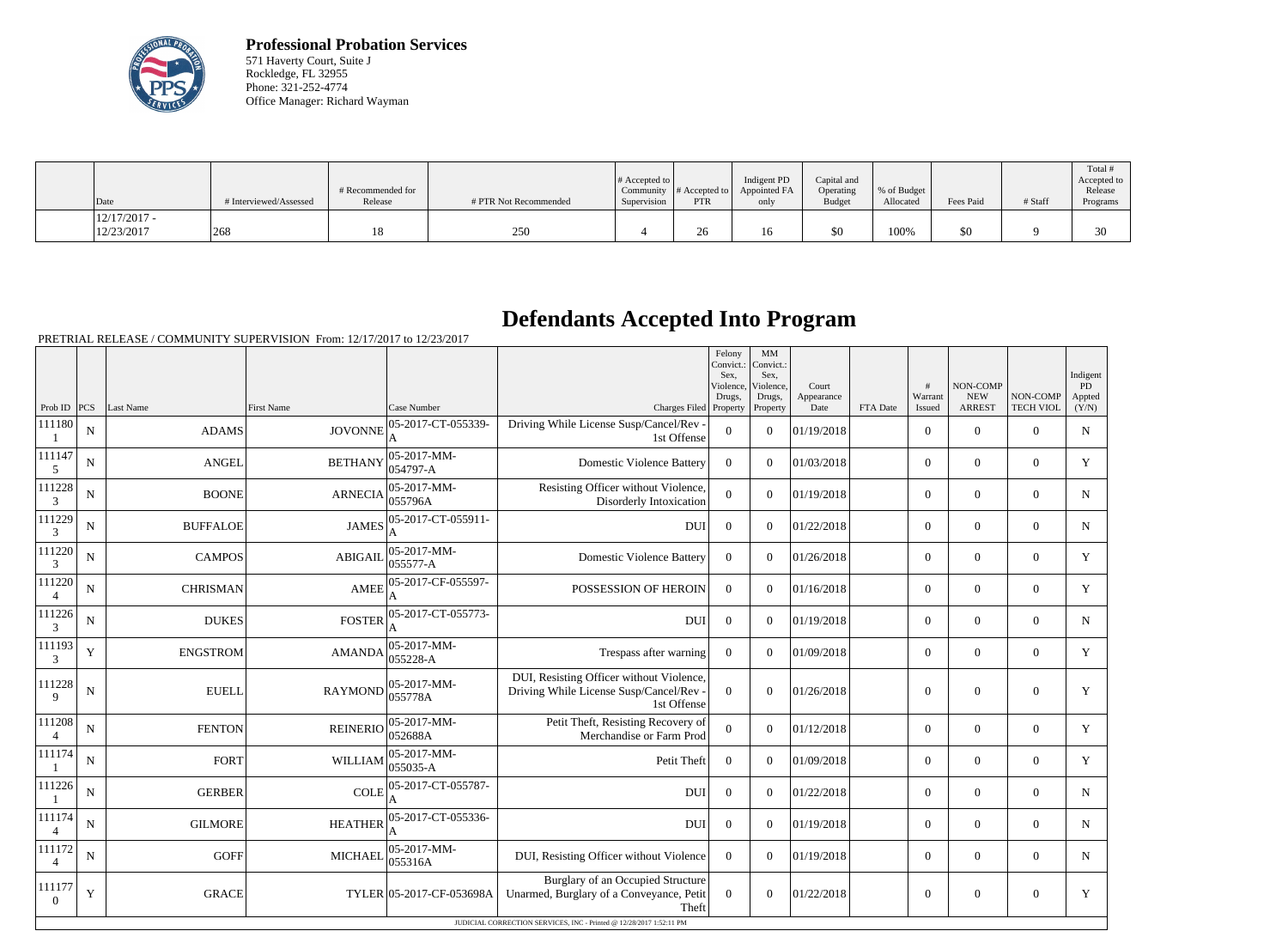

**Professional Probation Services** 571 Haverty Court, Suite J Rockledge, FL 32955 Phone: 321-252-4774 Office Manager: Richard Wayman

| Date                         | # Interviewed/Assessed | # Recommended for<br>Release | # PTR Not Recommended | $\#$ Accepted to<br>Community  <br>Supervision | $\#$ Accepted to $\ $<br><b>PTR</b> | Indigent PD<br>Appointed FA<br>only | Capital and<br>Operating<br><b>Budget</b> | \, % of Budget<br>Allocated | Fees Paid | # Staff | Total #<br>Accepted to<br>Release<br>Programs |
|------------------------------|------------------------|------------------------------|-----------------------|------------------------------------------------|-------------------------------------|-------------------------------------|-------------------------------------------|-----------------------------|-----------|---------|-----------------------------------------------|
| $12/17/2017 -$<br>12/23/2017 | 268                    | 18                           | 250                   |                                                | 26                                  | 16                                  | \$0                                       | 100%                        | \$0       |         | 30                                            |

## **Defendants Accepted Into Program**

PRETRIAL RELEASE / COMMUNITY SUPERVISION From: 12/17/2017 to 12/23/2017

|                          |             |                 |                   |                                    |                                                                                                                                                               | Felony<br>Convict.:<br>Sex.<br>Violence<br>Drugs, | MM<br>Convict.:<br>Sex.<br>Violence,<br>Drugs, | Court<br>Appearance |          | #<br>Warrant   | NON-COMP<br><b>NEW</b> | NON-COMP         | Indigent<br><b>PD</b><br>Appted |
|--------------------------|-------------|-----------------|-------------------|------------------------------------|---------------------------------------------------------------------------------------------------------------------------------------------------------------|---------------------------------------------------|------------------------------------------------|---------------------|----------|----------------|------------------------|------------------|---------------------------------|
| Prob ID   PCS            |             | Last Name       | <b>First Name</b> | Case Number                        | Charges Filed Property                                                                                                                                        |                                                   | Property                                       | Date                | FTA Date | Issued         | <b>ARREST</b>          | <b>TECH VIOL</b> | (Y/N)                           |
| 111180                   | ${\bf N}$   | <b>ADAMS</b>    | <b>JOVONNE</b>    | 05-2017-CT-055339-                 | Driving While License Susp/Cancel/Rev -<br>1st Offense                                                                                                        | $\overline{0}$                                    | $\overline{0}$                                 | 01/19/2018          |          | $\overline{0}$ | $\mathbf{0}$           | $\overline{0}$   | N                               |
| 111147<br>5              | ${\bf N}$   | <b>ANGEL</b>    | <b>BETHANY</b>    | 05-2017-MM-<br>054797-A            | <b>Domestic Violence Battery</b>                                                                                                                              | $\mathbf{0}$                                      | $\overline{0}$                                 | 01/03/2018          |          | $\overline{0}$ | $\mathbf{0}$           | $\overline{0}$   | Y                               |
| 111228<br>3              | N           | <b>BOONE</b>    | <b>ARNECIA</b>    | 05-2017-MM-<br>055796A             | Resisting Officer without Violence,<br>Disorderly Intoxication                                                                                                | $\overline{0}$                                    | $\overline{0}$                                 | 01/19/2018          |          | $\overline{0}$ | $\mathbf{0}$           | $\overline{0}$   | $\mathbf N$                     |
| 111229<br>3              | $\mathbf N$ | <b>BUFFALOE</b> | <b>JAMES</b>      | 05-2017-CT-055911-                 | <b>DUI</b>                                                                                                                                                    | $\mathbf{0}$                                      | $\overline{0}$                                 | 01/22/2018          |          | $\overline{0}$ | $\mathbf{0}$           | $\overline{0}$   | $\mathbf N$                     |
| 111220<br>3              | N           | <b>CAMPOS</b>   | <b>ABIGAIL</b>    | 05-2017-MM-<br>055577-A            | <b>Domestic Violence Battery</b>                                                                                                                              | $\overline{0}$                                    | $\Omega$                                       | 01/26/2018          |          | $\overline{0}$ | $\mathbf{0}$           | $\overline{0}$   | Y                               |
| 111220<br>$\overline{4}$ | $\mathbf N$ | <b>CHRISMAN</b> | <b>AMEE</b>       | 05-2017-CF-055597-<br>A            | POSSESSION OF HEROIN                                                                                                                                          | $\theta$                                          | $\Omega$                                       | 01/16/2018          |          | $\overline{0}$ | $\mathbf{0}$           | $\overline{0}$   | Y                               |
| 111226<br>3              | $\mathbf N$ | <b>DUKES</b>    | <b>FOSTER</b>     | 05-2017-CT-055773-<br>$\mathbf{A}$ | <b>DUI</b>                                                                                                                                                    | $\boldsymbol{0}$                                  | $\Omega$                                       | 01/19/2018          |          | $\overline{0}$ | $\mathbf{0}$           | $\overline{0}$   | $\mathbf N$                     |
| 111193<br>3              | $\mathbf Y$ | <b>ENGSTROM</b> | <b>AMANDA</b>     | $05-2017-MM$ -<br>$055228 - A$     | Trespass after warning                                                                                                                                        | $\boldsymbol{0}$                                  | $\Omega$                                       | 01/09/2018          |          | $\overline{0}$ | $\mathbf{0}$           | $\mathbf{0}$     | Y                               |
| 111228<br>$\mathbf Q$    | ${\bf N}$   | <b>EUELL</b>    | <b>RAYMOND</b>    | 05-2017-MM-<br>055778A             | DUI, Resisting Officer without Violence,<br>Driving While License Susp/Cancel/Rev -<br>1st Offense                                                            | $\overline{0}$                                    | $\overline{0}$                                 | 01/26/2018          |          | $\overline{0}$ | $\overline{0}$         | $\overline{0}$   | Y                               |
| 111208<br>$\overline{4}$ | N           | <b>FENTON</b>   | <b>REINERIO</b>   | $05 - 2017 - MM -$<br>052688A      | Petit Theft, Resisting Recovery of<br>Merchandise or Farm Prod                                                                                                | $\overline{0}$                                    | $\overline{0}$                                 | 01/12/2018          |          | $\overline{0}$ | $\mathbf{0}$           | $\overline{0}$   | Y                               |
| 111174                   | N           | <b>FORT</b>     | <b>WILLIAM</b>    | 05-2017-MM-<br>055035-A            | Petit Theft                                                                                                                                                   | $\boldsymbol{0}$                                  | $\overline{0}$                                 | 01/09/2018          |          | $\overline{0}$ | $\boldsymbol{0}$       | $\overline{0}$   | Y                               |
| 111226                   | ${\bf N}$   | <b>GERBER</b>   | <b>COLE</b>       | 05-2017-CT-055787-                 | <b>DUI</b>                                                                                                                                                    | $\boldsymbol{0}$                                  | $\overline{0}$                                 | 01/22/2018          |          | $\overline{0}$ | $\boldsymbol{0}$       | $\overline{0}$   | $\mathbf N$                     |
| 111174                   | ${\bf N}$   | <b>GILMORE</b>  | <b>HEATHER</b>    | 05-2017-CT-055336-                 | <b>DUI</b>                                                                                                                                                    | $\boldsymbol{0}$                                  | $\overline{0}$                                 | 01/19/2018          |          | $\overline{0}$ | $\boldsymbol{0}$       | $\mathbf{0}$     | N                               |
| 111172                   | ${\bf N}$   | <b>GOFF</b>     | <b>MICHAEL</b>    | $05-2017-MM$ -<br> 055316A         | DUI, Resisting Officer without Violence                                                                                                                       | $\overline{0}$                                    | $\overline{0}$                                 | 01/19/2018          |          | $\overline{0}$ | $\boldsymbol{0}$       | $\mathbf{0}$     | N                               |
| 111177<br>$\theta$       | Y           | <b>GRACE</b>    |                   | TYLER 05-2017-CF-053698A           | Burglary of an Occupied Structure<br>Unarmed, Burglary of a Conveyance, Petit<br>Theft<br>JUDICIAL CORRECTION SERVICES, INC - Printed @ 12/28/2017 1:52:11 PM | $\mathbf{0}$                                      | $\mathbf{0}$                                   | 01/22/2018          |          | $\overline{0}$ | $\overline{0}$         | $\mathbf{0}$     | Y                               |